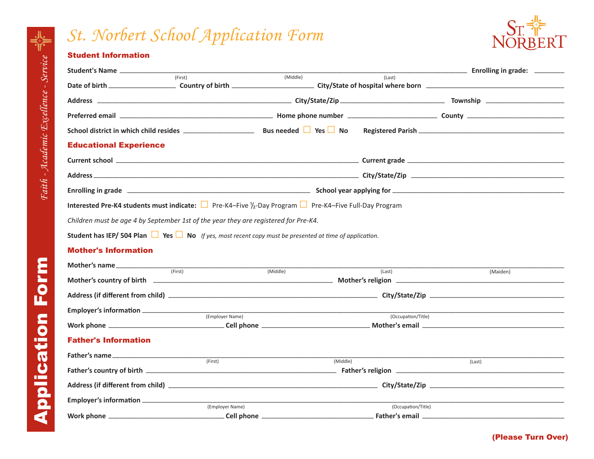## *St. Norbert School Application Form*



## Student Information

| Student's Name                                                                                                                                 |                                   |                                                                                                                         |          |                    |  |  |  |  |
|------------------------------------------------------------------------------------------------------------------------------------------------|-----------------------------------|-------------------------------------------------------------------------------------------------------------------------|----------|--------------------|--|--|--|--|
|                                                                                                                                                | $T$ (First)<br>(Middle)<br>(Last) |                                                                                                                         |          |                    |  |  |  |  |
|                                                                                                                                                |                                   |                                                                                                                         |          |                    |  |  |  |  |
|                                                                                                                                                |                                   |                                                                                                                         |          |                    |  |  |  |  |
|                                                                                                                                                |                                   |                                                                                                                         |          |                    |  |  |  |  |
| <b>Educational Experience</b>                                                                                                                  |                                   |                                                                                                                         |          |                    |  |  |  |  |
|                                                                                                                                                |                                   |                                                                                                                         |          |                    |  |  |  |  |
|                                                                                                                                                |                                   |                                                                                                                         |          |                    |  |  |  |  |
|                                                                                                                                                |                                   | Enrolling in grade <b>contract to the contract of the contract of the contract of the contract of the contract of t</b> |          |                    |  |  |  |  |
| <b>Interested Pre-K4 students must indicate:</b> $\Box$ Pre-K4–Five $\frac{1}{2}$ -Day Program $\Box$ Pre-K4–Five Full-Day Program             |                                   |                                                                                                                         |          |                    |  |  |  |  |
| Children must be age 4 by September 1st of the year they are registered for Pre-K4.                                                            |                                   |                                                                                                                         |          |                    |  |  |  |  |
| <b>Student has IEP/ 504 Plan <math>\Box</math> Yes <math>\Box</math> No</b> If yes, most recent copy must be presented at time of application. |                                   |                                                                                                                         |          |                    |  |  |  |  |
| <b>Mother's Information</b>                                                                                                                    |                                   |                                                                                                                         |          |                    |  |  |  |  |
| <b>Mother's name</b> $f(x) = f(x)$                                                                                                             |                                   | (Middle)                                                                                                                |          |                    |  |  |  |  |
|                                                                                                                                                |                                   |                                                                                                                         | (Last)   | (Maiden)           |  |  |  |  |
|                                                                                                                                                |                                   |                                                                                                                         |          |                    |  |  |  |  |
|                                                                                                                                                |                                   |                                                                                                                         |          |                    |  |  |  |  |
|                                                                                                                                                | (Employer Name)                   |                                                                                                                         |          | (Occupation/Title) |  |  |  |  |
| <b>Father's Information</b>                                                                                                                    |                                   |                                                                                                                         |          |                    |  |  |  |  |
|                                                                                                                                                |                                   |                                                                                                                         |          |                    |  |  |  |  |
|                                                                                                                                                | (First)                           |                                                                                                                         | (Middle) | (Last)             |  |  |  |  |
|                                                                                                                                                |                                   |                                                                                                                         |          |                    |  |  |  |  |
|                                                                                                                                                |                                   |                                                                                                                         |          |                    |  |  |  |  |
|                                                                                                                                                | (Employer Name)                   |                                                                                                                         |          | (Occupation/Title) |  |  |  |  |
| Work phone ____                                                                                                                                |                                   |                                                                                                                         |          |                    |  |  |  |  |